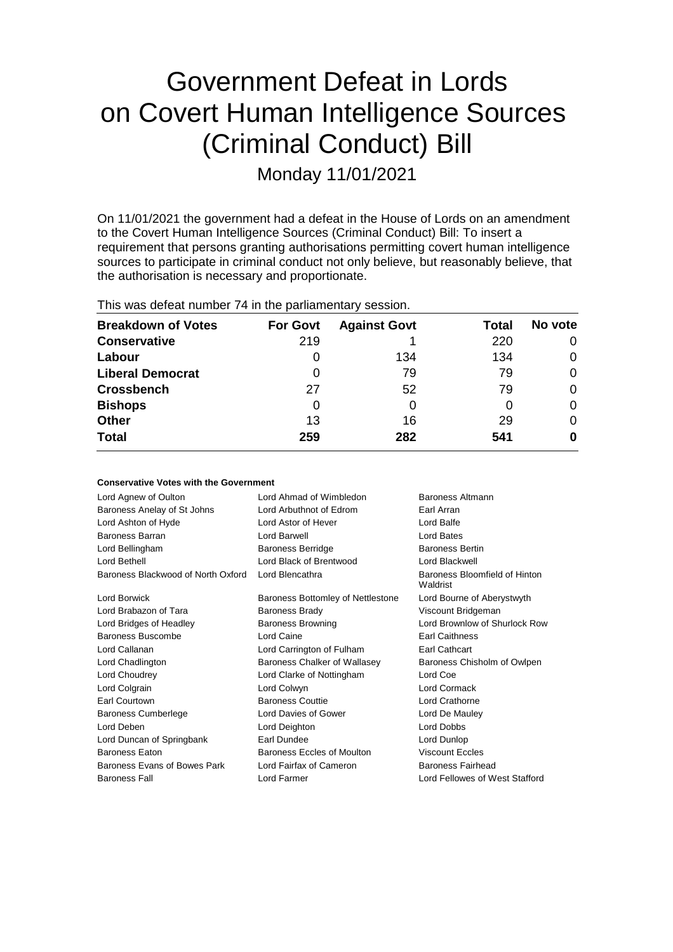# Government Defeat in Lords on Covert Human Intelligence Sources (Criminal Conduct) Bill

Monday 11/01/2021

On 11/01/2021 the government had a defeat in the House of Lords on an amendment to the Covert Human Intelligence Sources (Criminal Conduct) Bill: To insert a requirement that persons granting authorisations permitting covert human intelligence sources to participate in criminal conduct not only believe, but reasonably believe, that the authorisation is necessary and proportionate.

| This was defeat number 74 in the parliamentary session. |                 |                     |       |         |  |
|---------------------------------------------------------|-----------------|---------------------|-------|---------|--|
| <b>Breakdown of Votes</b>                               | <b>For Govt</b> | <b>Against Govt</b> | Total | No vote |  |
| <b>Conservative</b>                                     | 219             |                     | 220   |         |  |
| Labour                                                  | O               | 134                 | 134   | 0       |  |
| <b>Liberal Democrat</b>                                 | O               | 79                  | 79    | 0       |  |
| <b>Crossbench</b>                                       | 27              | 52                  | 79    | 0       |  |
| <b>Bishops</b>                                          | 0               |                     | O     | 0       |  |
| <b>Other</b>                                            | 13              | 16                  | 29    | 0       |  |
| <b>Total</b>                                            | 259             | 282                 | 541   | 0       |  |

| <b>Conservative Votes with the Government</b> |                                             |                                           |
|-----------------------------------------------|---------------------------------------------|-------------------------------------------|
| Lord Agnew of Oulton                          | Lord Ahmad of Wimbledon<br>Baroness Altmann |                                           |
| Baroness Anelay of St Johns                   | Lord Arbuthnot of Edrom                     | Earl Arran                                |
| Lord Ashton of Hyde                           | Lord Astor of Hever                         | Lord Balfe                                |
| Baroness Barran                               | Lord Barwell                                | Lord Bates                                |
| Lord Bellingham                               | <b>Baroness Berridge</b>                    | <b>Baroness Bertin</b>                    |
| Lord Bethell                                  | Lord Black of Brentwood                     | Lord Blackwell                            |
| Baroness Blackwood of North Oxford            | Lord Blencathra                             | Baroness Bloomfield of Hinton<br>Waldrist |
| Lord Borwick                                  | Baroness Bottomley of Nettlestone           | Lord Bourne of Aberystwyth                |
| Lord Brabazon of Tara                         | <b>Baroness Brady</b>                       | Viscount Bridgeman                        |
| Lord Bridges of Headley                       | <b>Baroness Browning</b>                    | Lord Brownlow of Shurlock Row             |
| Baroness Buscombe                             | Lord Caine                                  | <b>Earl Caithness</b>                     |
| Lord Callanan                                 | Lord Carrington of Fulham                   | Earl Cathcart                             |
| Lord Chadlington                              | Baroness Chalker of Wallasey                | Baroness Chisholm of Owlpen               |
| Lord Choudrey                                 | Lord Clarke of Nottingham                   | Lord Coe                                  |
| Lord Colgrain                                 | Lord Colwyn                                 | <b>Lord Cormack</b>                       |
| <b>Earl Courtown</b>                          | <b>Baroness Couttie</b>                     | Lord Crathorne                            |
| <b>Baroness Cumberlege</b>                    | Lord Davies of Gower                        | Lord De Mauley                            |
| Lord Deben                                    | Lord Deighton                               | <b>Lord Dobbs</b>                         |
| Lord Duncan of Springbank                     | Earl Dundee                                 | Lord Dunlop                               |
| <b>Baroness Eaton</b>                         | Baroness Eccles of Moulton                  | <b>Viscount Eccles</b>                    |
| Baroness Evans of Bowes Park                  | Lord Fairfax of Cameron                     | <b>Baroness Fairhead</b>                  |
| <b>Baroness Fall</b>                          | Lord Farmer                                 | Lord Fellowes of West Stafford            |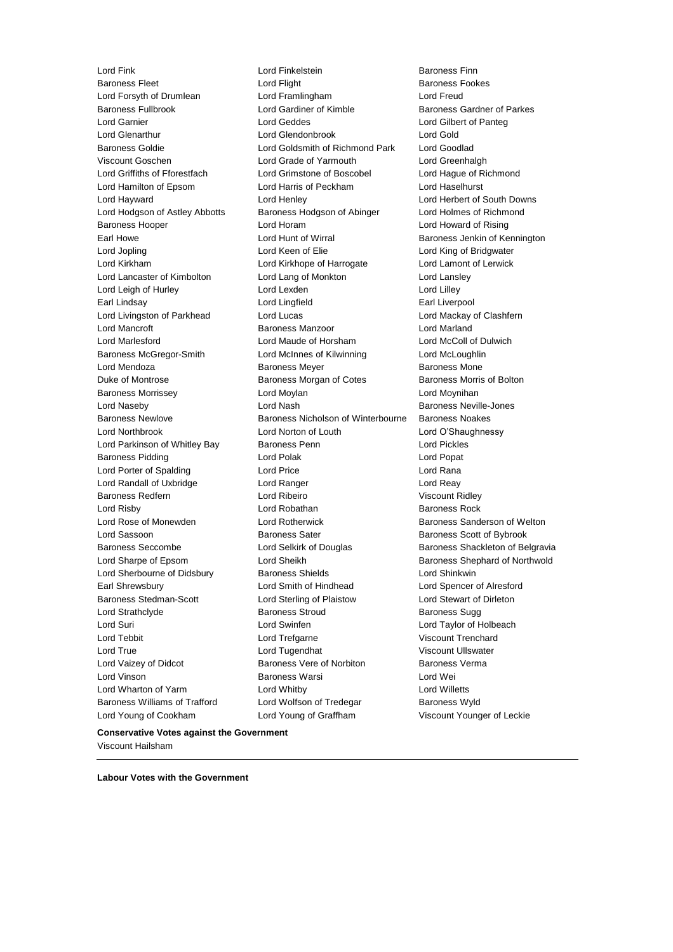Lord Fink Lord Finkelstein Baroness Finn Lord Young of Cookham Lord Young of Graffham Viscount Younger of Leckie

Baroness Fleet Lord Flight Baroness Fookes Lord Forsyth of Drumlean Lord Framlingham Lord Freud Baroness Fullbrook Lord Gardiner of Kimble Baroness Gardner of Parkes Lord Garnier Lord Geddes Lord Gilbert of Panteg Lord Glenarthur Lord Glendonbrook Lord Gold<br>
Baroness Goldie Cord Goldsmith of Richmond Park Lord Goodlad Baroness Goldie **Lord Goldsmith of Richmond Park**<br>
Viscount Goschen<br>
Lord Grade of Yarmouth Lord Grade of Yarmouth Lord Greenhalgh Lord Griffiths of Fforestfach Lord Grimstone of Boscobel Lord Hague of Richmond Lord Hamilton of Epsom Lord Harris of Peckham Lord Haselhurst Lord Hayward Lord Henley Lord Herbert of South Downs Lord Hodgson of Astley Abbotts Baroness Hodgson of Abinger Lord Holmes of Richmond Baroness Hooper Lord Horam Lord Howard of Rising Earl Howe Lord Hunt of Wirral Baroness Jenkin of Kennington Lord Jopling Lord Keen of Elie Lord King of Bridgwater Lord Kirkham Lord Kirkhope of Harrogate Lord Lamont of Lerwick Lord Lancaster of Kimbolton Lord Lang of Monkton Lord Lansley Lord Leigh of Hurley **Lord Lord Lexden** Lord Lord Lord Lilley Earl Lindsay Lord Lingfield Earl Liverpool Lord Livingston of Parkhead Lord Lucas Lord Lucas Lord Mackay of Clashfern Lord Mancroft Baroness Manzoor Lord Marland Lord Marlesford Lord Maude of Horsham Lord McColl of Dulwich Baroness McGregor-Smith Lord McInnes of Kilwinning Lord McLoughlin Lord Mendoza Baroness Meyer Baroness Mone Duke of Montrose **Baroness Morgan of Cotes** Baroness Morris of Bolton Baroness Morrissey Lord Moylan Lord Moynihan Lord Naseby **Lord Nash** Baroness Neville-Jones Baroness Newlove Baroness Nicholson of Winterbourne Baroness Noakes Lord Northbrook Lord Norton of Louth Lord O'Shaughnessy Lord Parkinson of Whitley Bay Baroness Penn Lord Pickles Baroness Pidding Lord Polak Lord Popat Lord Porter of Spalding Lord Price Lord Rana Lord Randall of Uxbridge **Lord Ranger** Lord Reay Baroness Redfern Lord Ribeiro Viscount Ridley Lord Risby **Lord Robathan** Baroness Rock **Baroness** Rock Lord Rose of Monewden **Lord Rotherwick** Baroness Sanderson of Welton Lord Sassoon **Baroness Sater** Baroness Sater Baroness Scott of Bybrook Baroness Seccombe **Lord Selkirk of Douglas** Baroness Shackleton of Belgravia Lord Sharpe of Epsom Lord Sheikh Baroness Shephard of Northwold Lord Sherbourne of Didsbury **Baroness Shields Lord Shinkwin** Earl Shrewsbury Lord Smith of Hindhead Lord Spencer of Alresford Baroness Stedman-Scott Lord Sterling of Plaistow Lord Stewart of Dirleton Lord Strathclyde **Baroness Stroud** Baroness Sugg Lord Suri Lord Swinfen Lord Taylor of Holbeach Lord Tebbit Lord Trefgarne Viscount Trenchard Lord True Lord Tugendhat Viscount Ullswater Lord Vaizey of Didcot **Baroness Vere of Norbiton** Baroness Verma Lord Vinson Baroness Warsi Lord Wei Lord Wharton of Yarm Lord Whitby Lord Willetts Baroness Williams of Trafford Lord Wolfson of Tredegar Baroness Wyld

**Conservative Votes against the Government** Viscount Hailsham

**Labour Votes with the Government**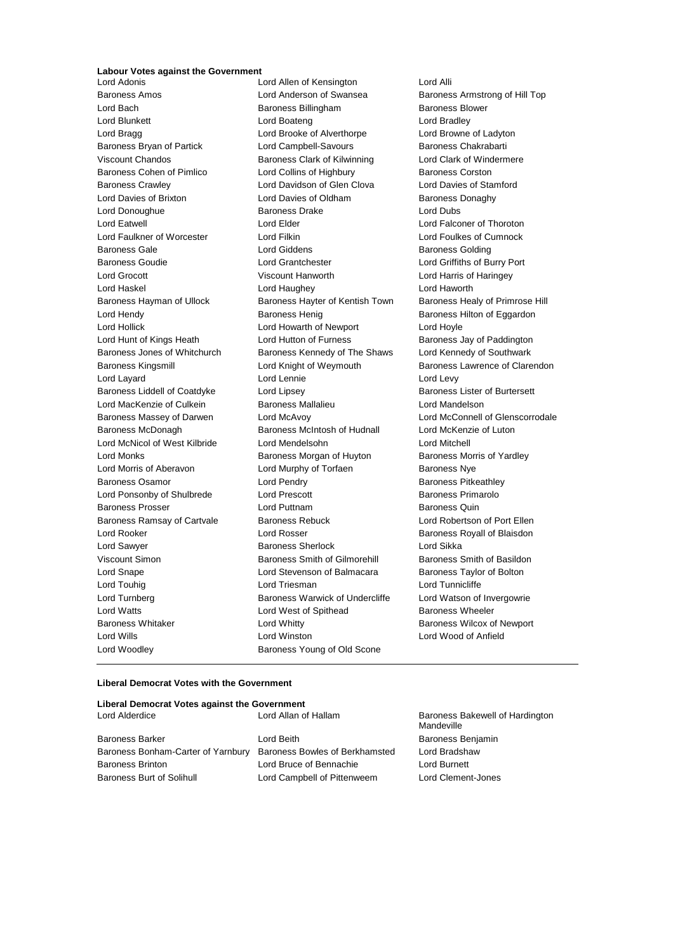# **Labour Votes against the Government**

Lord Davies of Brixton Lord Davies of Oldham Lord Woodley **Baroness Young of Old Scone** 

Lord Allen of Kensington Lord Alli Baroness Amos Lord Anderson of Swansea Baroness Armstrong of Hill Top Lord Bach **Baroness Billingham** Baroness Billingham Baroness Blower Lord Blunkett Lord Boateng Lord Bradley Lord Bragg Lord Brooke of Alverthorpe Lord Browne of Ladyton Baroness Bryan of Partick Lord Campbell-Savours Baroness Chakrabarti Viscount Chandos Baroness Clark of Kilwinning Lord Clark of Windermere Baroness Cohen of Pimlico **Lord Collins of Highbury** Baroness Corston Baroness Crawley **Lord Davidson of Glen Clova** Cord Davies of Stamford<br>
Lord Davies of Brixton Lord Davies of Oldham<br>
Lord Davies of Oldham<br>
Baroness Donaghy Lord Donoughue Baroness Drake Lord Dubs Lord Eatwell Lord Elder Lord Falconer of Thoroton Lord Faulkner of Worcester Lord Filkin Lord Foulkes of Cumnock Baroness Gale Lord Giddens Baroness Golding Baroness Goudie Lord Grantchester Lord Griffiths of Burry Port Lord Grocott Viscount Hanworth Lord Harris of Haringey Lord Haskel Lord Haughey Lord Haworth Baroness Hayman of Ullock Baroness Hayter of Kentish Town Baroness Healy of Primrose Hill Lord Hendy **Baroness Henig** Baroness Henig Baroness Hilton of Eggardon Lord Hollick Lord Howarth of Newport Lord Hoyle Lord Hunt of Kings Heath Lord Hutton of Furness **Baroness Jay of Paddington** Baroness Jones of Whitchurch Baroness Kennedy of The Shaws Lord Kennedy of Southwark Baroness Kingsmill **Example 2** Lord Knight of Weymouth Baroness Lawrence of Clarendon Lord Layard Lord Lennie Lord Levy Baroness Liddell of Coatdyke Lord Lipsey Communication Baroness Lister of Burtersett Lord MacKenzie of Culkein Baroness Mallalieu Lord Mandelson Baroness Massey of Darwen Lord McAvoy Lord McConnell of Glenscorrodale Baroness McDonagh Baroness McIntosh of Hudnall Lord McKenzie of Luton Lord McNicol of West Kilbride Lord Mendelsohn Lord Mitchell Lord Monks **Baroness Morgan of Huyton** Baroness Morris of Yardley Lord Morris of Aberavon **Lord Murphy of Torfaen** Baroness Nye Baroness Osamor **Lord Pendry Baroness Pitkeathley** Lord Ponsonby of Shulbrede Lord Prescott Cord Baroness Primarolo Baroness Prosser **Example 2** Lord Puttnam **Baroness Quin** Baroness Quin Baroness Ramsay of Cartvale Baroness Rebuck Lord Robertson of Port Ellen Lord Rooker **Lord Rosser** Lord Rosser **Baroness Royall of Blaisdon** Lord Sawyer **Baroness Sherlock** Lord Sikka Viscount Simon Baroness Smith of Gilmorehill Baroness Smith of Basildon Lord Snape **Lord Stevenson of Balmacara** Baroness Taylor of Bolton Lord Touhig **Lord Triesman** Lord Triesman Lord Tunnicliffe Lord Turnberg **Baroness Warwick of Undercliffe** Lord Watson of Invergowrie Lord Watts **Lord West of Spithead** Baroness Wheeler Baroness Whitaker **Lord Whitty Lord Whitty** Baroness Wilcox of Newport Lord Wills Lord Winston Lord Wood of Anfield

#### **Liberal Democrat Votes with the Government**

## **Liberal Democrat Votes against the Government** Lord Alderdice **Lord Allan of Hallam Baroness Bakewell of Hardington** Mandeville Baroness Barker **Communist Baroness Benjamin** Lord Beith **Baroness Benjamin** Baroness Bonham-Carter of Yarnbury Baroness Bowles of Berkhamsted Lord Bradshaw Baroness Brinton Lord Bruce of Bennachie Lord Burnett Baroness Burt of Solihull Lord Campbell of Pittenweem Lord Clement-Jones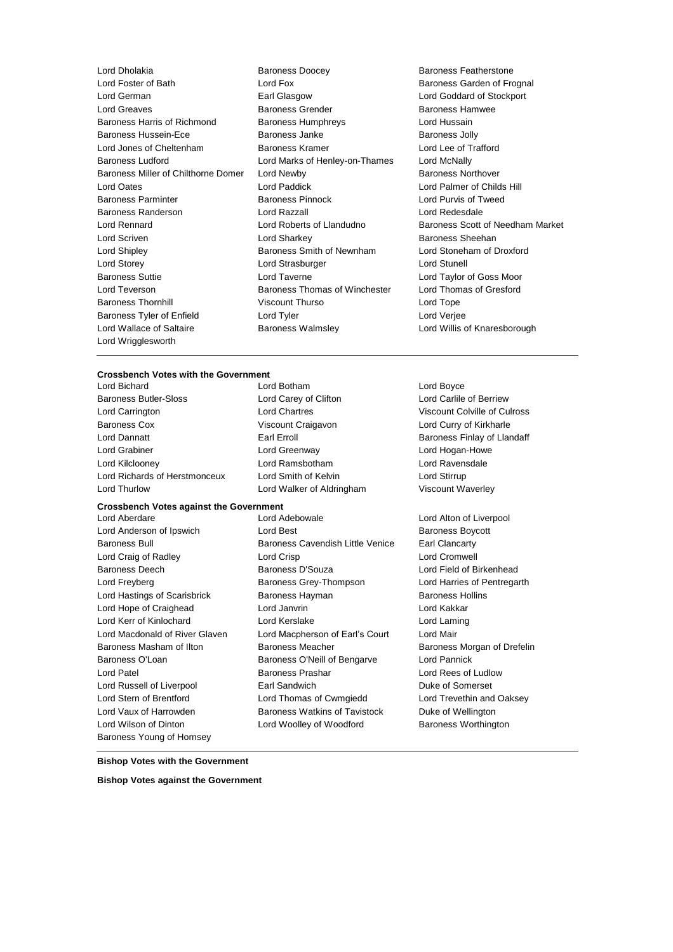Lord Dholakia **Baroness Doocey** Baroness Peatherstone<br>
Lord Fox **Baroness Carden of Fre**<br>
Baroness Garden of Fre Lord German Earl Glasgow Lord Goddard of Stockport Lord Greaves **Baroness Grender** Baroness Grender Baroness Hamwee Baroness Harris of Richmond Baroness Humphreys Cord Hussain Baroness Hussein-Ece **Baroness Janke** Baroness Janke **Baroness Jolly** Lord Jones of Cheltenham Baroness Kramer Lord Lee of Trafford Baroness Ludford Lord Marks of Henley-on-Thames Lord McNally Baroness Miller of Chilthorne Domer Lord Newby **Baroness Northover** Baroness Northover Lord Oates Lord Paddick Lord Palmer of Childs Hill Baroness Parminter **Baroness Pinnock** Lord Purvis of Tweed Baroness Randerson Lord Razzall Lord Redesdale Lord Rennard Lord Roberts of Llandudno Baroness Scott of Needham Market Lord Scriven **Lord Sharkey Constant Constant Lord Sharkey Baroness Sheehan** Lord Shipley Baroness Smith of Newnham Lord Stoneham of Droxford Lord Storey **Lord Strasburger** Lord Strasburger **Lord Strasburger** Lord Stunell Baroness Suttie Lord Taverne Lord Taylor of Goss Moor Lord Teverson Baroness Thomas of Winchester Lord Thomas of Gresford Baroness Thornhill **Example 20** Viscount Thurso **Lord Tope** Lord Tope Baroness Tyler of Enfield Lord Tyler Lord Tyler Lord Verjee Lord Wallace of Saltaire Baroness Walmsley Lord Willis of Knaresborough Lord Wrigglesworth

Baroness Garden of Frognal

### **Crossbench Votes with the Government**

Baroness Butler-Sloss Lord Carey of Clifton Lord Carlile of Berriew Lord Carrington Lord Chartres Viscount Colville of Culross Baroness Cox Viscount Craigavon Lord Curry of Kirkharle Lord Dannatt **Earl Erroll** Earl Erroll Baroness Finlay of Llandaff Lord Grabiner Lord Greenway Lord Hogan-Howe Lord Kilclooney Lord Ramsbotham Lord Ravensdale Lord Richards of Herstmonceux Lord Smith of Kelvin Lord Stirrup

Lord Bichard Lord Botham Lord Boyce Lord Thurlow Lord Walker of Aldringham Viscount Waverley

# **Crossbench Votes against the Government**

Lord Wilson of Dinton Lord Woolley of Woodford Baroness Worthington Baroness Young of Hornsey

Lord Aberdare Lord Adebowale Lord Alton of Liverpool Lord Anderson of Ipswich **Lord Best** Baroness Boycott Baroness Bull Baroness Cavendish Little Venice Earl Clancarty Lord Craig of Radley **Lord Crisp** Lord Crisp **Lord Cromwell** Baroness Deech Baroness D'Souza Lord Field of Birkenhead Lord Freyberg **Baroness Grey-Thompson** Lord Harries of Pentregarth Lord Hastings of Scarisbrick **Baroness Hayman** Baroness Hollins Lord Hope of Craighead Lord Janvrin Lord Kakkar Lord Kerr of Kinlochard Lord Kerslake Lord Laming Lord Macdonald of River Glaven Lord Macpherson of Earl's Court Lord Mair Baroness Masham of Ilton Baroness Meacher Baroness Meacher Baroness Morgan of Drefelin Baroness O'Loan Baroness O'Neill of Bengarve Lord Pannick **Lord Patel Contract Baroness Prashar Contract Rees of Ludlow** Baroness Prashar Contract Rees of Ludlow Lord Russell of Liverpool **Earl Sandwich Communist Communist Communist Communist Communist Communist Communist Communist Communist Communist Communist Communist Communist Communist Communist Communist Communist Communist C** Lord Stern of Brentford Lord Thomas of Cwmgiedd Lord Trevethin and Oaksey Lord Vaux of Harrowden Baroness Watkins of Tavistock Duke of Wellington

**Bishop Votes with the Government**

**Bishop Votes against the Government**